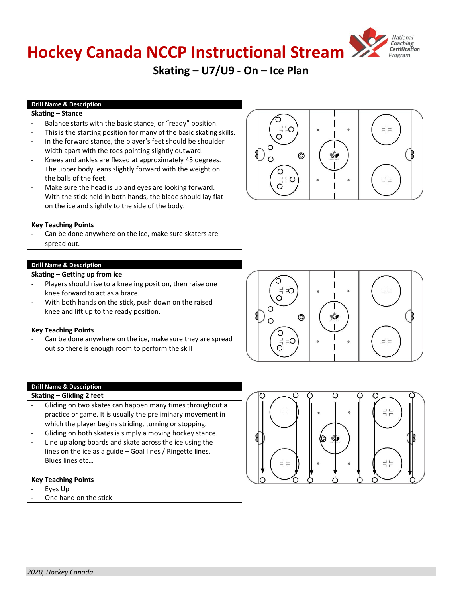# **Hockey Canada NCCP Instructional Stream**

# **Skating – U7/U9 - On – Ice Plan**

# **Drill Name & Description**

# **Skating – Stance**

- Balance starts with the basic stance, or "ready" position.
- This is the starting position for many of the basic skating skills. In the forward stance, the player's feet should be shoulder width apart with the toes pointing slightly outward.
- Knees and ankles are flexed at approximately 45 degrees. The upper body leans slightly forward with the weight on the balls of the feet.
- Make sure the head is up and eyes are looking forward. With the stick held in both hands, the blade should lay flat on the ice and slightly to the side of the body.

#### **Key Teaching Points**

Can be done anywhere on the ice, make sure skaters are spread out.

#### **Drill Name & Description**

#### **Skating – Getting up from ice**

- Players should rise to a kneeling position, then raise one knee forward to act as a brace.
- With both hands on the stick, push down on the raised knee and lift up to the ready position.

#### **Key Teaching Points**

Can be done anywhere on the ice, make sure they are spread out so there is enough room to perform the skill

**Drill Name & Description Skating – Gliding 2 feet**

- Gliding on two skates can happen many times throughout a practice or game. It is usually the preliminary movement in which the player begins striding, turning or stopping.
- Gliding on both skates is simply a moving hockey stance.
- Line up along boards and skate across the ice using the lines on the ice as a guide – Goal lines / Ringette lines, Blues lines etc…

# **Key Teaching Points**

- Eyes Up
- One hand on the stick







**HockeyCanada.ca**

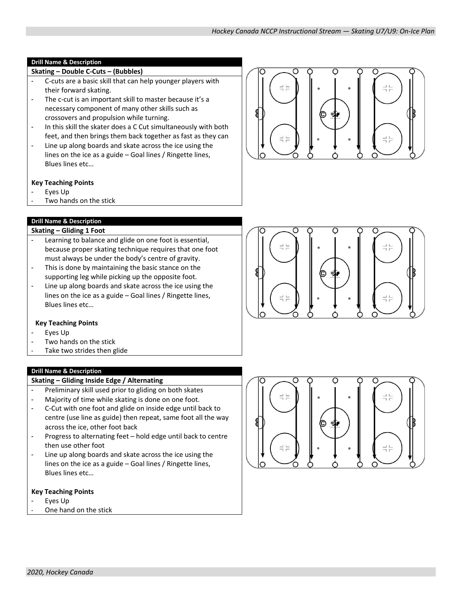# **Skating – Double C‐Cuts – (Bubbles)**

- C-cuts are a basic skill that can help younger players with their forward skating.
- The c-cut is an important skill to master because it's a necessary component of many other skills such as crossovers and propulsion while turning.
- In this skill the skater does a C Cut simultaneously with both feet, and then brings them back together as fast as they can
- Line up along boards and skate across the ice using the lines on the ice as a guide – Goal lines / Ringette lines, Blues lines etc…

# **Key Teaching Points**

- Eyes Up
- Two hands on the stick

# **Drill Name & Description**

# **Skating – Gliding 1 Foot**

- Learning to balance and glide on one foot is essential, because proper skating technique requires that one foot must always be under the body's centre of gravity.
- This is done by maintaining the basic stance on the supporting leg while picking up the opposite foot.
- Line up along boards and skate across the ice using the lines on the ice as a guide – Goal lines / Ringette lines, Blues lines etc…

# **Key Teaching Points**

- Eyes Up
- Two hands on the stick
- Take two strides then glide

# **Drill Name & Description**

# **Skating – Gliding Inside Edge / Alternating**

- Preliminary skill used prior to gliding on both skates
- Majority of time while skating is done on one foot.
- C‐Cut with one foot and glide on inside edge until back to centre (use line as guide) then repeat, same foot all the way across the ice, other foot back
- Progress to alternating feet hold edge until back to centre then use other foot
- Line up along boards and skate across the ice using the lines on the ice as a guide – Goal lines / Ringette lines, Blues lines etc…

- Eyes Up
- One hand on the stick



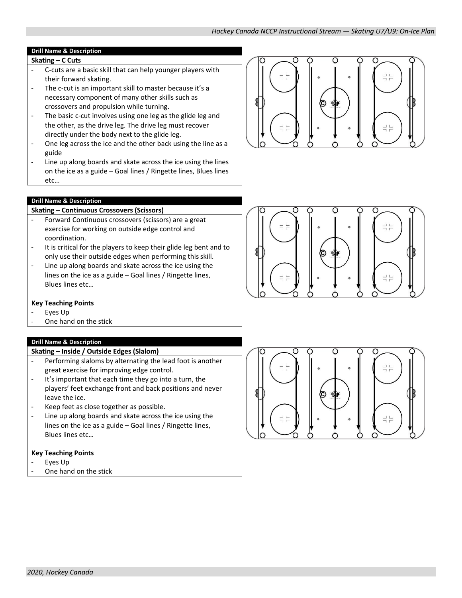- **Skating – C Cuts**
- C-cuts are a basic skill that can help younger players with their forward skating.
- The c-cut is an important skill to master because it's a necessary component of many other skills such as crossovers and propulsion while turning.
- The basic c-cut involves using one leg as the glide leg and the other, as the drive leg. The drive leg must recover directly under the body next to the glide leg.
- One leg across the ice and the other back using the line as a guide
- Line up along boards and skate across the ice using the lines on the ice as a guide – Goal lines / Ringette lines, Blues lines etc…



# **Drill Name & Description**

# **Skating – Continuous Crossovers (Scissors)**

- Forward Continuous crossovers (scissors) are a great exercise for working on outside edge control and coordination.
- It is critical for the players to keep their glide leg bent and to only use their outside edges when performing this skill.
- Line up along boards and skate across the ice using the lines on the ice as a guide – Goal lines / Ringette lines, Blues lines etc…

# **Key Teaching Points**

- Eyes Up
- One hand on the stick

#### **Drill Name & Description**

# **Skating – Inside / Outside Edges (Slalom)**

- Performing slaloms by alternating the lead foot is another great exercise for improving edge control.
- It's important that each time they go into a turn, the players' feet exchange front and back positions and never leave the ice.
- Keep feet as close together as possible.
- Line up along boards and skate across the ice using the lines on the ice as a guide – Goal lines / Ringette lines, Blues lines etc…

- Eyes Up
- One hand on the stick



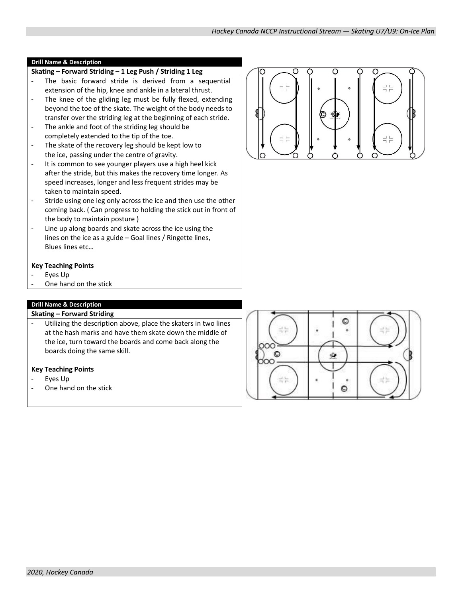# **Skating – Forward Striding – 1 Leg Push / Striding 1 Leg**

- The basic forward stride is derived from a sequential extension of the hip, knee and ankle in a lateral thrust.
- The knee of the gliding leg must be fully flexed, extending beyond the toe of the skate. The weight of the body needs to transfer over the striding leg at the beginning of each stride.
- The ankle and foot of the striding leg should be completely extended to the tip of the toe.
- The skate of the recovery leg should be kept low to the ice, passing under the centre of gravity.
- It is common to see younger players use a high heel kick after the stride, but this makes the recovery time longer. As speed increases, longer and less frequent strides may be taken to maintain speed.
- Stride using one leg only across the ice and then use the other coming back. ( Can progress to holding the stick out in front of the body to maintain posture )
- Line up along boards and skate across the ice using the lines on the ice as a guide – Goal lines / Ringette lines, Blues lines etc…

#### **Key Teaching Points**

- Eyes Up
- One hand on the stick

# **Drill Name & Description**

#### **Skating – Forward Striding**

Utilizing the description above, place the skaters in two lines at the hash marks and have them skate down the middle of the ice, turn toward the boards and come back along the boards doing the same skill.

- Eyes Up
- One hand on the stick



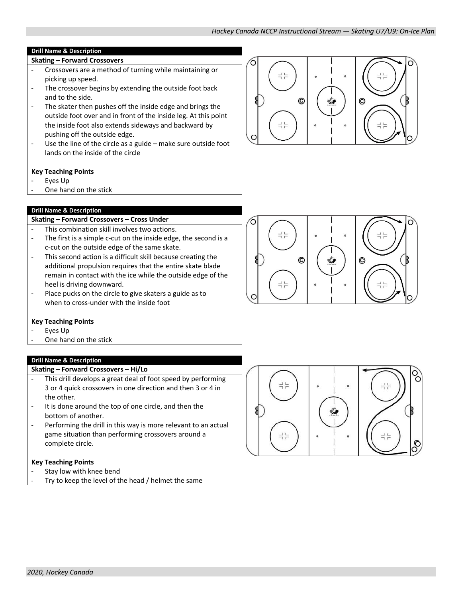- **Skating – Forward Crossovers**
- Crossovers are a method of turning while maintaining or picking up speed.
- The crossover begins by extending the outside foot back and to the side.
- The skater then pushes off the inside edge and brings the outside foot over and in front of the inside leg. At this point the inside foot also extends sideways and backward by pushing off the outside edge.
- Use the line of the circle as a guide make sure outside foot lands on the inside of the circle

# **Key Teaching Points**

- Eyes Up
- One hand on the stick

# **Drill Name & Description**

# **Skating – Forward Crossovers – Cross Under**

- This combination skill involves two actions.
- The first is a simple c-cut on the inside edge, the second is a c‐cut on the outside edge of the same skate.
- This second action is a difficult skill because creating the additional propulsion requires that the entire skate blade remain in contact with the ice while the outside edge of the heel is driving downward.
- Place pucks on the circle to give skaters a guide as to when to cross-under with the inside foot

# **Key Teaching Points**

- Eyes Up
- One hand on the stick

# **Drill Name & Description**

# **Skating – Forward Crossovers – Hi/Lo**

- This drill develops a great deal of foot speed by performing 3 or 4 quick crossovers in one direction and then 3 or 4 in the other.
- It is done around the top of one circle, and then the bottom of another.
- Performing the drill in this way is more relevant to an actual game situation than performing crossovers around a complete circle.

- Stay low with knee bend
- Try to keep the level of the head / helmet the same





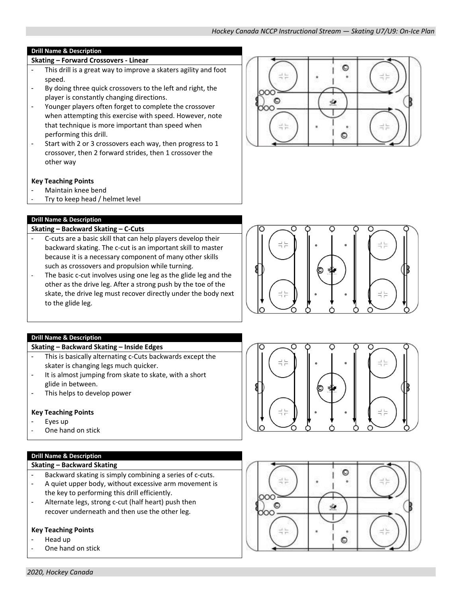- **Skating – Forward Crossovers - Linear**
- This drill is a great way to improve a skaters agility and foot speed.
- By doing three quick crossovers to the left and right, the player is constantly changing directions.
- Younger players often forget to complete the crossover when attempting this exercise with speed. However, note that technique is more important than speed when performing this drill.
- Start with 2 or 3 crossovers each way, then progress to 1 crossover, then 2 forward strides, then 1 crossover the other way

# **Key Teaching Points**

- Maintain knee bend
- Try to keep head / helmet level

# **Drill Name & Description**

#### **Skating – Backward Skating – C‐Cuts**

- C-cuts are a basic skill that can help players develop their backward skating. The c‐cut is an important skill to master because it is a necessary component of many other skills such as crossovers and propulsion while turning.
- The basic c-cut involves using one leg as the glide leg and the other as the drive leg. After a strong push by the toe of the skate, the drive leg must recover directly under the body next to the glide leg.



# **Drill Name & Description**

#### **Skating – Backward Skating – Inside Edges**

- This is basically alternating c-Cuts backwards except the skater is changing legs much quicker.
- It is almost jumping from skate to skate, with a short glide in between.
- This helps to develop power

# **Key Teaching Points**

- Eyes up
- One hand on stick

# **Drill Name & Description**

# **Skating – Backward Skating**

- Backward skating is simply combining a series of c-cuts.
- A quiet upper body, without excessive arm movement is the key to performing this drill efficiently.
- Alternate legs, strong c-cut (half heart) push then recover underneath and then use the other leg.

- Head up
- One hand on stick





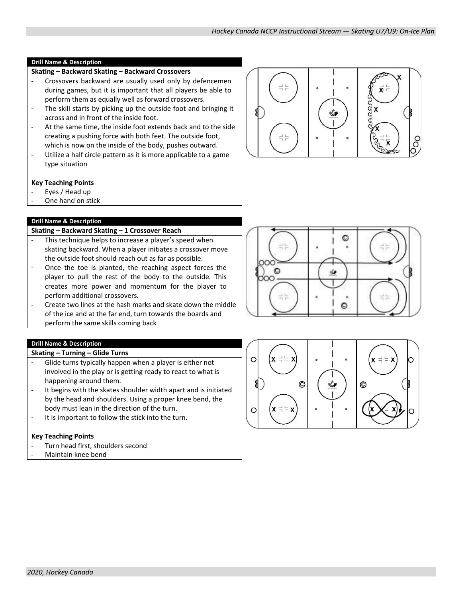#### **Skating – Backward Skating – Backward Crossovers**

- Crossovers backward are usually used only by defencemen during games, but it is important that all players be able to perform them as equally well as forward crossovers.
- The skill starts by picking up the outside foot and bringing it across and in front of the inside foot.
- At the same time, the inside foot extends back and to the side creating a pushing force with both feet. The outside foot, which is now on the inside of the body, pushes outward.
- Utilize a half circle pattern as it is more applicable to a game type situation

#### **Key Teaching Points**

- Eyes / Head up
- One hand on stick

# **Drill Name & Description**

# **Skating – Backward Skating – 1 Crossover Reach**

- This technique helps to increase a player's speed when skating backward. When a player initiates a crossover move the outside foot should reach out as far as possible.
- Once the toe is planted, the reaching aspect forces the player to pull the rest of the body to the outside. This creates more power and momentum for the player to perform additional crossovers.
- Create two lines at the hash marks and skate down the middle of the ice and at the far end, turn towards the boards and perform the same skills coming back

# **Drill Name & Description**

#### **Skating – Turning – Glide Turns**

- Glide turns typically happen when a player is either not involved in the play or is getting ready to react to what is happening around them.
- It begins with the skates shoulder width apart and is initiated by the head and shoulders. Using a proper knee bend, the body must lean in the direction of the turn.
- It is important to follow the stick into the turn.

- Turn head first, shoulders second
- Maintain knee bend





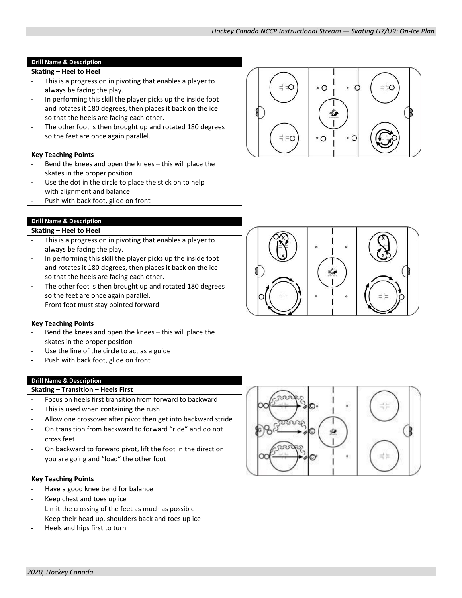# **Skating – Heel to Heel**

- This is a progression in pivoting that enables a player to always be facing the play.
- In performing this skill the player picks up the inside foot and rotates it 180 degrees, then places it back on the ice so that the heels are facing each other.
- The other foot is then brought up and rotated 180 degrees so the feet are once again parallel.

# **Key Teaching Points**

- Bend the knees and open the knees this will place the skates in the proper position
- Use the dot in the circle to place the stick on to help with alignment and balance
- Push with back foot, glide on front

# **Drill Name & Description**

# **Skating – Heel to Heel**

- This is a progression in pivoting that enables a player to always be facing the play.
- In performing this skill the player picks up the inside foot and rotates it 180 degrees, then places it back on the ice so that the heels are facing each other.
- The other foot is then brought up and rotated 180 degrees so the feet are once again parallel.
- Front foot must stay pointed forward

#### **Key Teaching Points**

- Bend the knees and open the knees this will place the skates in the proper position
- Use the line of the circle to act as a guide
- Push with back foot, glide on front

#### **Drill Name & Description**

#### **Skating – Transition – Heels First**

- Focus on heels first transition from forward to backward
- This is used when containing the rush
- Allow one crossover after pivot then get into backward stride
- On transition from backward to forward "ride" and do not cross feet
- On backward to forward pivot, lift the foot in the direction you are going and "load" the other foot

- Have a good knee bend for balance
- Keep chest and toes up ice
- Limit the crossing of the feet as much as possible
- Keep their head up, shoulders back and toes up ice
- Heels and hips first to turn





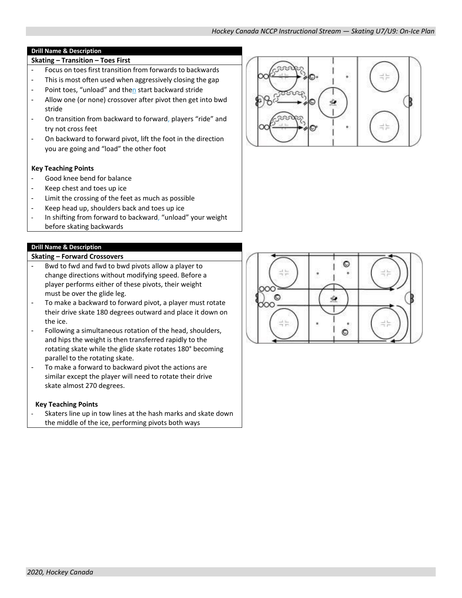- **Skating – Transition – Toes First** - Focus on toes first transition from forwards to backwards
- This is most often used when aggressively closing the gap
- Point toes, "unload" and then start backward stride
- Allow one (or none) crossover after pivot then get into bwd stride
- On transition from backward to forward, players "ride" and try not cross feet
- On backward to forward pivot, lift the foot in the direction you are going and "load" the other foot

# **Key Teaching Points**

- Good knee bend for balance
- Keep chest and toes up ice
- Limit the crossing of the feet as much as possible
- Keep head up, shoulders back and toes up ice
- In shifting from forward to backward, "unload" your weight before skating backwards

# **Drill Name & Description**

#### **Skating – Forward Crossovers**

- Bwd to fwd and fwd to bwd pivots allow a player to change directions without modifying speed. Before a player performs either of these pivots, their weight must be over the glide leg.
- To make a backward to forward pivot, a player must rotate their drive skate 180 degrees outward and place it down on the ice.
- Following a simultaneous rotation of the head, shoulders, and hips the weight is then transferred rapidly to the rotating skate while the glide skate rotates 180° becoming parallel to the rotating skate.
- To make a forward to backward pivot the actions are similar except the player will need to rotate their drive skate almost 270 degrees.

# **Key Teaching Points**

Skaters line up in tow lines at the hash marks and skate down the middle of the ice, performing pivots both ways